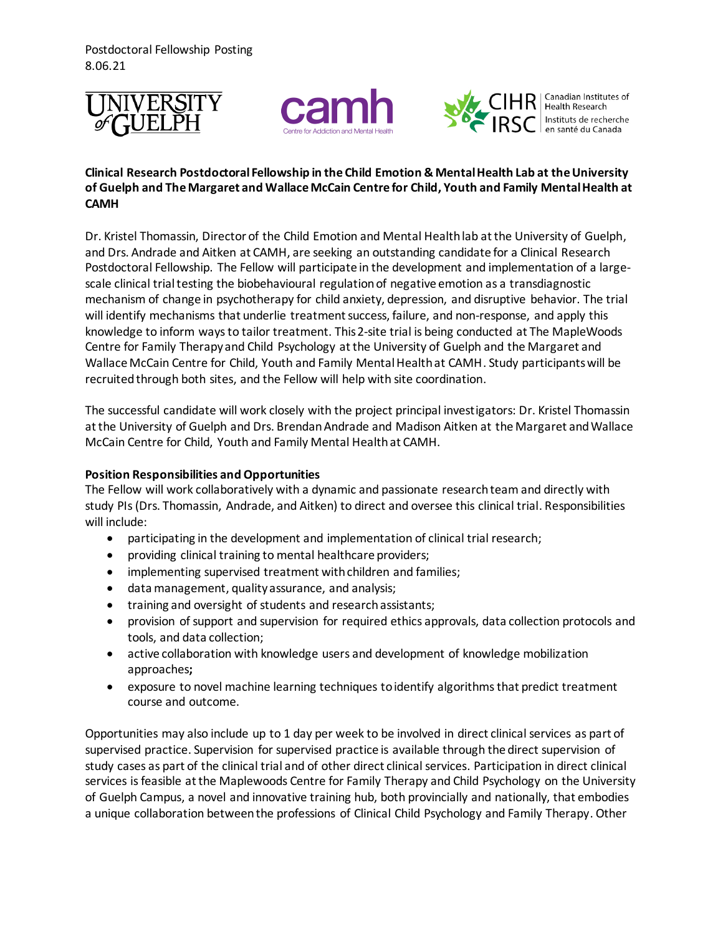Postdoctoral Fellowship Posting 8.06.21







Canadian Institutes of Health Research Instituts de recherche en santé du Canada

## **Clinical Research Postdoctoral Fellowship in the Child Emotion & Mental Health Lab at the University of Guelph and The Margaret and Wallace McCain Centre for Child, Youth and Family Mental Health at CAMH**

Dr. Kristel Thomassin, Director of the Child Emotion and Mental Health lab at the University of Guelph, and Drs. Andrade and Aitken at CAMH, are seeking an outstanding candidate for a Clinical Research Postdoctoral Fellowship. The Fellow will participate in the development and implementation of a largescale clinical trial testing the biobehavioural regulation of negative emotion as a transdiagnostic mechanism of change in psychotherapy for child anxiety, depression, and disruptive behavior. The trial will identify mechanisms that underlie treatment success, failure, and non-response, and apply this knowledge to inform ways to tailor treatment. This 2-site trial is being conducted at The MapleWoods Centre for Family Therapy and Child Psychology at the University of Guelph and the Margaret and Wallace McCain Centre for Child, Youth and Family Mental Health at CAMH. Study participants will be recruited through both sites, and the Fellow will help with site coordination.

The successful candidate will work closely with the project principal investigators: Dr. Kristel Thomassin at the University of Guelph and Drs. Brendan Andrade and Madison Aitken at the Margaret and Wallace McCain Centre for Child, Youth and Family Mental Health at CAMH.

## **Position Responsibilities and Opportunities**

The Fellow will work collaboratively with a dynamic and passionate research team and directly with study PIs (Drs. Thomassin, Andrade, and Aitken) to direct and oversee this clinical trial. Responsibilities will include:

- participating in the development and implementation of clinical trial research;
- providing clinical training to mental healthcare providers;
- implementing supervised treatment with children and families;
- data management, quality assurance, and analysis;
- training and oversight of students and research assistants;
- provision of support and supervision for required ethics approvals, data collection protocols and tools, and data collection;
- active collaboration with knowledge users and development of knowledge mobilization approaches**;**
- exposure to novel machine learning techniques to identify algorithms that predict treatment course and outcome.

Opportunities may also include up to 1 day per week to be involved in direct clinical services as part of supervised practice. Supervision for supervised practice is available through the direct supervision of study cases as part of the clinical trial and of other direct clinical services. Participation in direct clinical services is feasible at the Maplewoods Centre for Family Therapy and Child Psychology on the University of Guelph Campus, a novel and innovative training hub, both provincially and nationally, that embodies a unique collaboration between the professions of Clinical Child Psychology and Family Therapy. Other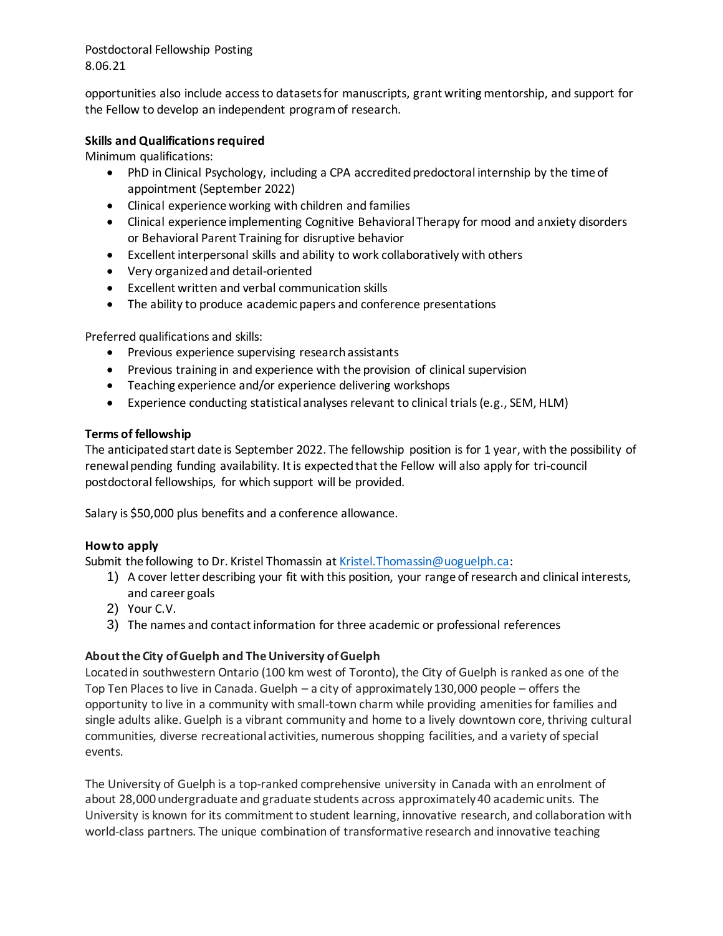Postdoctoral Fellowship Posting 8.06.21

opportunities also include access to datasets for manuscripts, grant writing mentorship, and support for the Fellow to develop an independent program of research.

## **Skills and Qualifications required**

Minimum qualifications:

- PhD in Clinical Psychology, including a CPA accredited predoctoral internship by the time of appointment (September 2022)
- Clinical experience working with children and families
- Clinical experience implementing Cognitive Behavioral Therapy for mood and anxiety disorders or Behavioral Parent Training for disruptive behavior
- Excellent interpersonal skills and ability to work collaboratively with others
- Very organized and detail-oriented
- Excellent written and verbal communication skills
- The ability to produce academic papers and conference presentations

Preferred qualifications and skills:

- Previous experience supervising research assistants
- Previous training in and experience with the provision of clinical supervision
- Teaching experience and/or experience delivering workshops
- Experience conducting statistical analyses relevant to clinical trials (e.g., SEM, HLM)

### **Terms of fellowship**

The anticipated start date is September 2022. The fellowship position is for 1 year, with the possibility of renewal pending funding availability. It is expected that the Fellow will also apply for tri-council postdoctoral fellowships, for which support will be provided.

Salary is \$50,000 plus benefits and a conference allowance.

# **How to apply**

Submit the following to Dr. Kristel Thomassin at Kristel. Thomassin@uoguelph.ca:

- 1) A cover letter describing your fit with this position, your range of research and clinical interests, and career goals
- 2) Your C.V.
- 3) The names and contact information for three academic or professional references

# **About the City of Guelph and The University of Guelph**

Located in southwestern Ontario (100 km west of Toronto), the City of Guelph is ranked as one of the Top Ten Places to live in Canada. Guelph – a city of approximately 130,000 people – offers the opportunity to live in a community with small-town charm while providing amenities for families and single adults alike. Guelph is a vibrant community and home to a lively downtown core, thriving cultural communities, diverse recreational activities, numerous shopping facilities, and a variety of special events.

The University of Guelph is a top-ranked comprehensive university in Canada with an enrolment of about 28,000 undergraduate and graduate students across approximately 40 academic units. The University is known for its commitment to student learning, innovative research, and collaboration with world-class partners. The unique combination of transformative research and innovative teaching